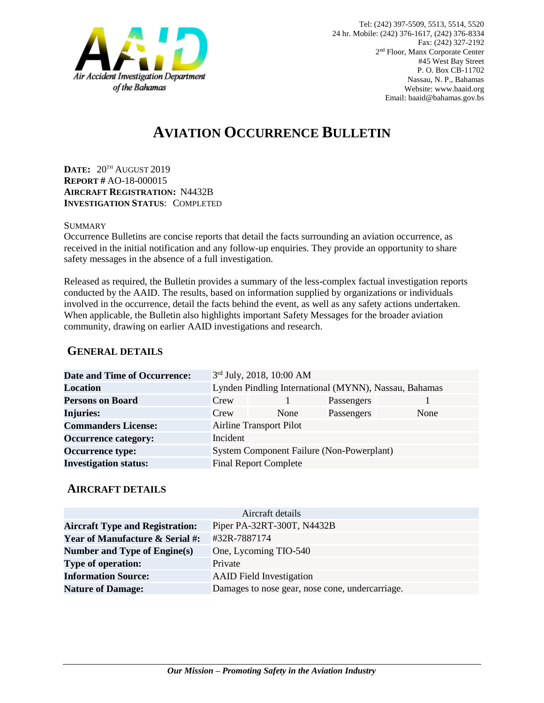

# **AVIATION OCCURRENCE BULLETIN**

**DATE:** 20TH AUGUST 2019 **REPORT #** AO-18-000015 **AIRCRAFT REGISTRATION:** N4432B **INVESTIGATION STATUS**: COMPLETED

#### **SUMMARY**

Occurrence Bulletins are concise reports that detail the facts surrounding an aviation occurrence, as received in the initial notification and any follow-up enquiries. They provide an opportunity to share safety messages in the absence of a full investigation*.*

Released as required, the Bulletin provides a summary of the less-complex factual investigation reports conducted by the AAID. The results, based on information supplied by organizations or individuals involved in the occurrence, detail the facts behind the event, as well as any safety actions undertaken. When applicable, the Bulletin also highlights important Safety Messages for the broader aviation community, drawing on earlier AAID investigations and research.

### **GENERAL DETAILS**

| <b>Date and Time of Occurrence:</b> |                                                       | 3rd July, 2018, 10:00 AM |            |      |
|-------------------------------------|-------------------------------------------------------|--------------------------|------------|------|
| <b>Location</b>                     | Lynden Pindling International (MYNN), Nassau, Bahamas |                          |            |      |
| <b>Persons on Board</b>             | Crew                                                  |                          | Passengers |      |
| <b>Injuries:</b>                    | Crew                                                  | None                     | Passengers | None |
| <b>Commanders License:</b>          | <b>Airline Transport Pilot</b>                        |                          |            |      |
| <b>Occurrence category:</b>         | Incident                                              |                          |            |      |
| <b>Occurrence type:</b>             | System Component Failure (Non-Powerplant)             |                          |            |      |
| <b>Investigation status:</b>        | <b>Final Report Complete</b>                          |                          |            |      |

#### **AIRCRAFT DETAILS**

| Aircraft details                           |                                                 |  |  |  |
|--------------------------------------------|-------------------------------------------------|--|--|--|
| <b>Aircraft Type and Registration:</b>     | Piper PA-32RT-300T, N4432B                      |  |  |  |
| <b>Year of Manufacture &amp; Serial #:</b> | #32R-7887174                                    |  |  |  |
| Number and Type of Engine(s)               | One, Lycoming TIO-540                           |  |  |  |
| <b>Type of operation:</b>                  | Private                                         |  |  |  |
| <b>Information Source:</b>                 | <b>AAID</b> Field Investigation                 |  |  |  |
| <b>Nature of Damage:</b>                   | Damages to nose gear, nose cone, undercarriage. |  |  |  |